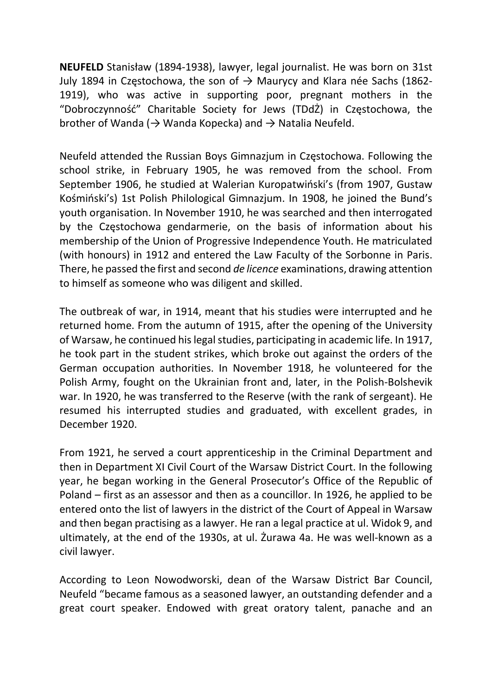NEUFELD Stanisław (1894-1938), lawyer, legal journalist. He was born on 31st July 1894 in Częstochowa, the son of  $\rightarrow$  Maurycy and Klara née Sachs (1862-1919), who was active in supporting poor, pregnant mothers in the "Dobroczynność" Charitable Society for Jews (TDdŻ) in Częstochowa, the brother of Wanda ( $\rightarrow$  Wanda Kopecka) and  $\rightarrow$  Natalia Neufeld.

Neufeld attended the Russian Boys Gimnazjum in Częstochowa. Following the school strike, in February 1905, he was removed from the school. From September 1906, he studied at Walerian Kuropatwiński's (from 1907, Gustaw Kośmiński's) 1st Polish Philological Gimnazjum. In 1908, he joined the Bund's youth organisation. In November 1910, he was searched and then interrogated by the Częstochowa gendarmerie, on the basis of information about his membership of the Union of Progressive Independence Youth. He matriculated (with honours) in 1912 and entered the Law Faculty of the Sorbonne in Paris. There, he passed the first and second de licence examinations, drawing attention to himself as someone who was diligent and skilled.

The outbreak of war, in 1914, meant that his studies were interrupted and he returned home. From the autumn of 1915, after the opening of the University of Warsaw, he continued his legal studies, participating in academic life. In 1917, he took part in the student strikes, which broke out against the orders of the German occupation authorities. In November 1918, he volunteered for the Polish Army, fought on the Ukrainian front and, later, in the Polish-Bolshevik war. In 1920, he was transferred to the Reserve (with the rank of sergeant). He resumed his interrupted studies and graduated, with excellent grades, in December 1920.

From 1921, he served a court apprenticeship in the Criminal Department and then in Department XI Civil Court of the Warsaw District Court. In the following year, he began working in the General Prosecutor's Office of the Republic of Poland – first as an assessor and then as a councillor. In 1926, he applied to be entered onto the list of lawyers in the district of the Court of Appeal in Warsaw and then began practising as a lawyer. He ran a legal practice at ul. Widok 9, and ultimately, at the end of the 1930s, at ul. Żurawa 4a. He was well-known as a civil lawyer.

According to Leon Nowodworski, dean of the Warsaw District Bar Council, Neufeld "became famous as a seasoned lawyer, an outstanding defender and a great court speaker. Endowed with great oratory talent, panache and an